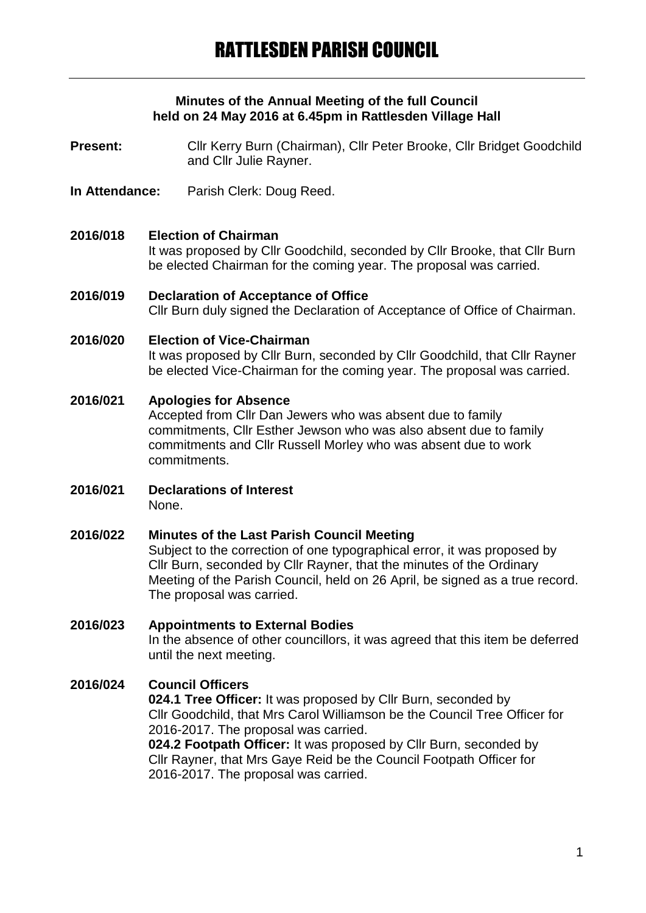#### **Minutes of the Annual Meeting of the full Council held on 24 May 2016 at 6.45pm in Rattlesden Village Hall**

Present: Cllr Kerry Burn (Chairman), Cllr Peter Brooke, Cllr Bridget Goodchild and Cllr Julie Rayner.

- **In Attendance:** Parish Clerk: Doug Reed.
- **2016/018 Election of Chairman** It was proposed by Cllr Goodchild, seconded by Cllr Brooke, that Cllr Burn be elected Chairman for the coming year. The proposal was carried.
- **2016/019 Declaration of Acceptance of Office** Cllr Burn duly signed the Declaration of Acceptance of Office of Chairman.

#### **2016/020 Election of Vice-Chairman**

It was proposed by Cllr Burn, seconded by Cllr Goodchild, that Cllr Rayner be elected Vice-Chairman for the coming year. The proposal was carried.

**2016/021 Apologies for Absence**

Accepted from Cllr Dan Jewers who was absent due to family commitments, Cllr Esther Jewson who was also absent due to family commitments and Cllr Russell Morley who was absent due to work commitments.

**2016/021 Declarations of Interest** None.

## **2016/022 Minutes of the Last Parish Council Meeting** Subject to the correction of one typographical error, it was proposed by Cllr Burn, seconded by Cllr Rayner, that the minutes of the Ordinary Meeting of the Parish Council, held on 26 April, be signed as a true record. The proposal was carried.

## **2016/023 Appointments to External Bodies** In the absence of other councillors, it was agreed that this item be deferred until the next meeting.

## **2016/024 Council Officers**

**024.1 Tree Officer:** It was proposed by Cllr Burn, seconded by Cllr Goodchild, that Mrs Carol Williamson be the Council Tree Officer for 2016-2017. The proposal was carried.

**024.2 Footpath Officer:** It was proposed by Cllr Burn, seconded by Cllr Rayner, that Mrs Gaye Reid be the Council Footpath Officer for 2016-2017. The proposal was carried.